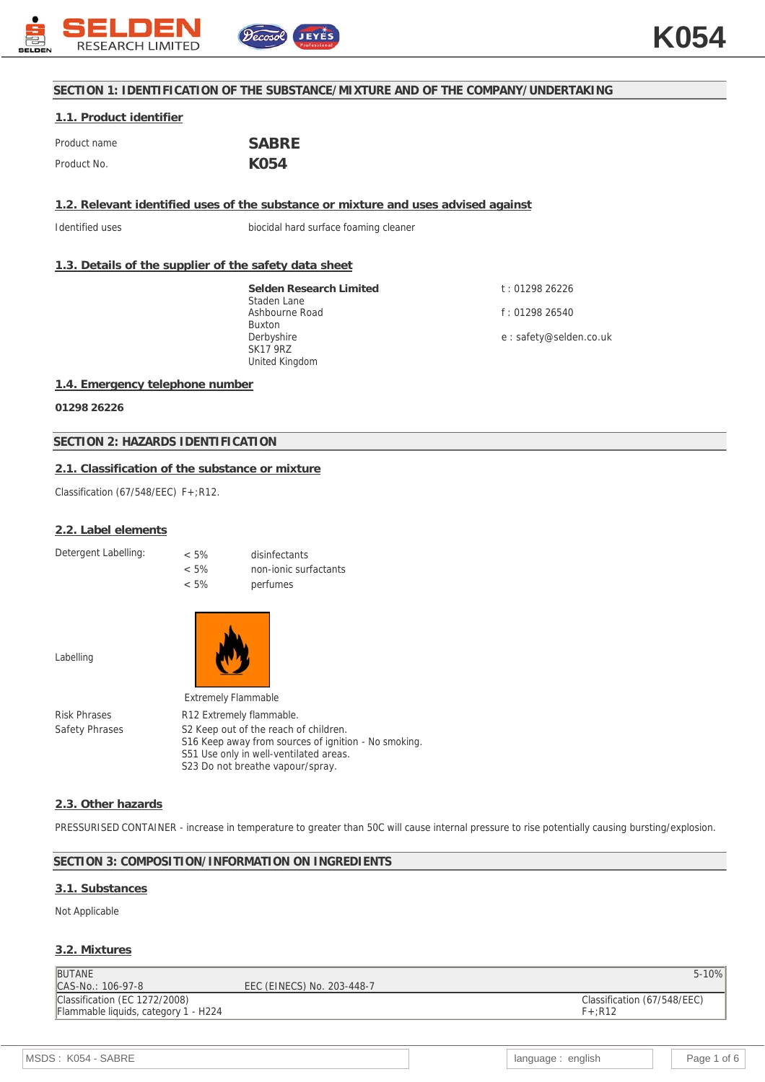

## **SECTION 1: IDENTIFICATION OF THE SUBSTANCE/MIXTURE AND OF THE COMPANY/UNDERTAKING**

# **1.1. Product identifier**

| Product name | <b>SABRE</b> |
|--------------|--------------|
| Product No.  | K054         |

**1.2. Relevant identified uses of the substance or mixture and uses advised against**

Identified uses biocidal hard surface foaming cleaner

## **1.3. Details of the supplier of the safety data sheet**

**Selden Research Limited** Staden Lane Ashbourne Road Buxton Derbyshire SK17 9RZ United Kingdom

t : 01298 26226 f : 01298 26540

e : safety@selden.co.uk

### **1.4. Emergency telephone number**

**01298 26226**

### **SECTION 2: HAZARDS IDENTIFICATION**

## **2.1. Classification of the substance or mixture**

Classification (67/548/EEC) F+;R12.

#### **2.2. Label elements**

Detergent Labelling:

| $< 5\%$ | disinfectants         |
|---------|-----------------------|
| $< 5\%$ | non-jonic surfactants |
| $< 5\%$ | perfumes              |

Labelling



|                     | <b>Extremely Flammable</b>                                                                                |
|---------------------|-----------------------------------------------------------------------------------------------------------|
| <b>Risk Phrases</b> | R <sub>12</sub> Extremely flammable.                                                                      |
| Safety Phrases      | S <sub>2</sub> Keep out of the reach of children.<br>S16 Keep away from sources of ignition - No smoking. |
|                     | S51 Use only in well-ventilated areas.                                                                    |
|                     | S23 Do not breathe vapour/spray.                                                                          |

#### **2.3. Other hazards**

PRESSURISED CONTAINER - increase in temperature to greater than 50C will cause internal pressure to rise potentially causing bursting/explosion.

## **SECTION 3: COMPOSITION/INFORMATION ON INGREDIENTS**

#### **3.1. Substances**

### Not Applicable

## **3.2. Mixtures**

| <b>BUTANE</b>                        |                            | $5 - 10%$                   |
|--------------------------------------|----------------------------|-----------------------------|
| CAS-No.: 106-97-8                    | EEC (EINECS) No. 203-448-7 |                             |
| Classification (EC 1272/2008)        |                            | Classification (67/548/EEC) |
| Flammable liquids, category 1 - H224 |                            | $F+$ :R12                   |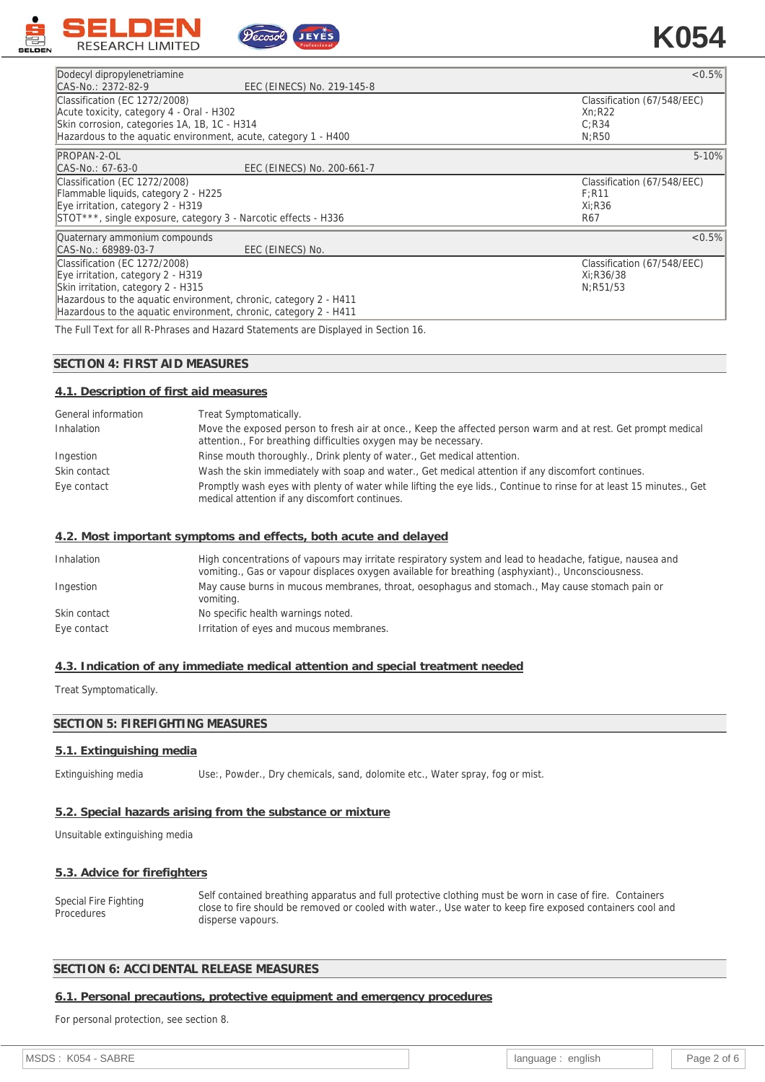

| Dodecyl dipropylenetriamine                  |                                                                  | $< 0.5\%$                   |
|----------------------------------------------|------------------------------------------------------------------|-----------------------------|
| CAS-No.: 2372-82-9                           | EEC (EINECS) No. 219-145-8                                       |                             |
| Classification (EC 1272/2008)                |                                                                  | Classification (67/548/EEC) |
| Acute toxicity, category 4 - Oral - H302     |                                                                  | Xn:R22                      |
| Skin corrosion, categories 1A, 1B, 1C - H314 |                                                                  | C:R34                       |
|                                              | Hazardous to the aguatic environment, acute, category 1 - H400   | N:R50                       |
| PROPAN-2-OL                                  |                                                                  | $5 - 10%$                   |
| CAS-No.: 67-63-0                             | EEC (EINECS) No. 200-661-7                                       |                             |
| Classification (EC 1272/2008)                |                                                                  | Classification (67/548/EEC) |
| Flammable liquids, category 2 - H225         |                                                                  | $F:$ R11                    |
| Eye irritation, category 2 - H319            |                                                                  | Xi:R36                      |
|                                              | STOT***, single exposure, category 3 - Narcotic effects - H336   | R67                         |
| Quaternary ammonium compounds                |                                                                  | $< 0.5\%$                   |
| CAS-No.: 68989-03-7                          | EEC (EINECS) No.                                                 |                             |
| Classification (EC 1272/2008)                |                                                                  | Classification (67/548/EEC) |
| Eye irritation, category 2 - H319            |                                                                  | Xi:R36/38                   |
| Skin irritation, category 2 - H315           |                                                                  | N:R51/53                    |
|                                              | Hazardous to the aquatic environment, chronic, category 2 - H411 |                             |
|                                              | Hazardous to the aquatic environment, chronic, category 2 - H411 |                             |

JEYES

The Full Text for all R-Phrases and Hazard Statements are Displayed in Section 16.

### **SECTION 4: FIRST AID MEASURES**

#### **4.1. Description of first aid measures**

| General information | Treat Symptomatically.                                                                                                                                                          |
|---------------------|---------------------------------------------------------------------------------------------------------------------------------------------------------------------------------|
| Inhalation          | Move the exposed person to fresh air at once., Keep the affected person warm and at rest. Get prompt medical<br>attention., For breathing difficulties oxygen may be necessary. |
| Ingestion           | Rinse mouth thoroughly., Drink plenty of water., Get medical attention.                                                                                                         |
| Skin contact        | Wash the skin immediately with soap and water., Get medical attention if any discomfort continues.                                                                              |
| Eye contact         | Promptly wash eyes with plenty of water while lifting the eye lids., Continue to rinse for at least 15 minutes., Get<br>medical attention if any discomfort continues.          |

#### **4.2. Most important symptoms and effects, both acute and delayed**

| Inhalation   | High concentrations of vapours may irritate respiratory system and lead to headache, fatigue, nausea and<br>vomiting., Gas or vapour displaces oxygen available for breathing (asphyxiant)., Unconsciousness. |
|--------------|---------------------------------------------------------------------------------------------------------------------------------------------------------------------------------------------------------------|
| Ingestion    | May cause burns in mucous membranes, throat, oesophagus and stomach., May cause stomach pain or<br>vomiting.                                                                                                  |
| Skin contact | No specific health warnings noted.                                                                                                                                                                            |
| Eye contact  | Irritation of eyes and mucous membranes.                                                                                                                                                                      |

#### **4.3. Indication of any immediate medical attention and special treatment needed**

Treat Symptomatically.

## **SECTION 5: FIREFIGHTING MEASURES**

## **5.1. Extinguishing media**

Extinguishing media Use:, Powder., Dry chemicals, sand, dolomite etc., Water spray, fog or mist.

## **5.2. Special hazards arising from the substance or mixture**

Unsuitable extinguishing media

#### **5.3. Advice for firefighters**

Special Fire Fighting **Procedures** Self contained breathing apparatus and full protective clothing must be worn in case of fire. Containers close to fire should be removed or cooled with water., Use water to keep fire exposed containers cool and disperse vapours.

### **SECTION 6: ACCIDENTAL RELEASE MEASURES**

#### **6.1. Personal precautions, protective equipment and emergency procedures**

For personal protection, see section 8.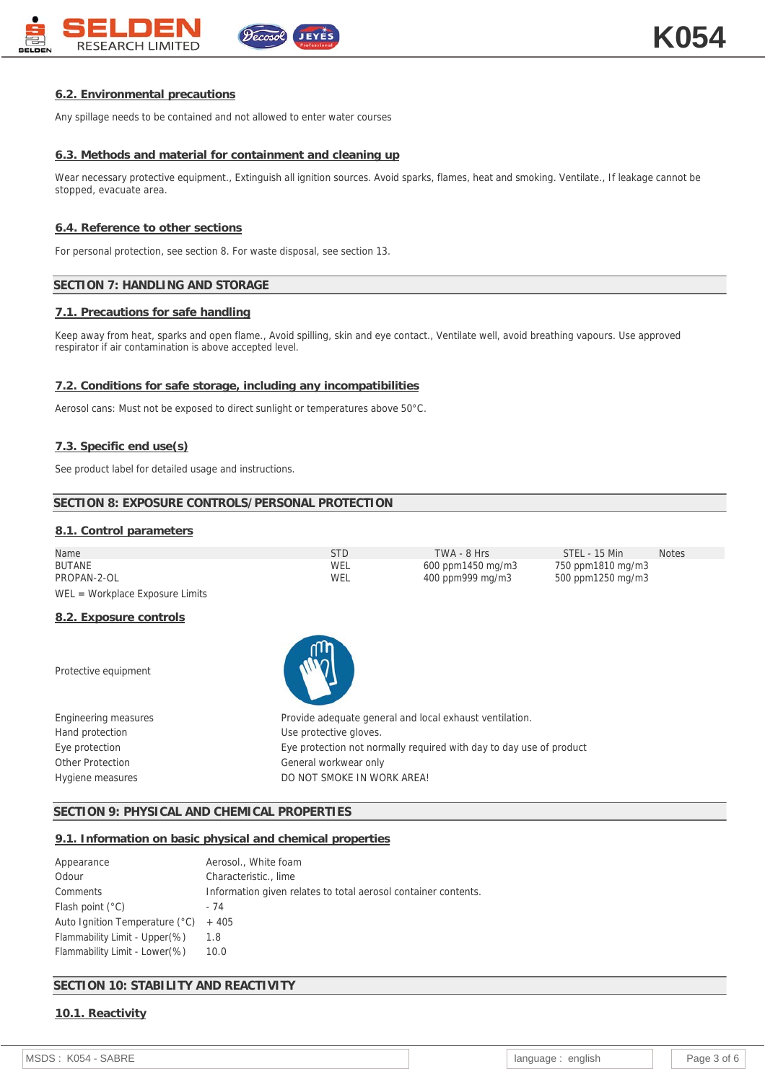

### **6.2. Environmental precautions**

Any spillage needs to be contained and not allowed to enter water courses

#### **6.3. Methods and material for containment and cleaning up**

Wear necessary protective equipment., Extinguish all ignition sources. Avoid sparks, flames, heat and smoking. Ventilate., If leakage cannot be stopped, evacuate area.

#### **6.4. Reference to other sections**

For personal protection, see section 8. For waste disposal, see section 13.

#### **SECTION 7: HANDLING AND STORAGE**

#### **7.1. Precautions for safe handling**

Keep away from heat, sparks and open flame., Avoid spilling, skin and eye contact., Ventilate well, avoid breathing vapours. Use approved respirator if air contamination is above accepted level.

#### **7.2. Conditions for safe storage, including any incompatibilities**

Aerosol cans: Must not be exposed to direct sunlight or temperatures above 50°C.

#### **7.3. Specific end use(s)**

See product label for detailed usage and instructions.

#### **SECTION 8: EXPOSURE CONTROLS/PERSONAL PROTECTION**

#### **8.1. Control parameters**

| Name                              | STD | TWA - 8 Hrs       | STEL - 15 Min     | <b>Notes</b> |
|-----------------------------------|-----|-------------------|-------------------|--------------|
| BUTANE                            | WEL | 600 ppm1450 mg/m3 | 750 ppm1810 mg/m3 |              |
| PROPAN-2-OL                       | WEL | 400 ppm999 mg/m3  | 500 ppm1250 mg/m3 |              |
| $WEL = Workplace Exposure Limits$ |     |                   |                   |              |

#### **8.2. Exposure controls**

Protective equipment



Engineering measures **Provide adequate general and local exhaust ventilation.** Hand protection and the Use protective gloves. Eye protection Eye protection not normally required with day to day use of product Other Protection General workwear only Hygiene measures **Example 20 Inc.** DO NOT SMOKE IN WORK AREA!

#### **SECTION 9: PHYSICAL AND CHEMICAL PROPERTIES**

#### **9.1. Information on basic physical and chemical properties**

| Appearance                     | Aerosol., White foam                                           |
|--------------------------------|----------------------------------------------------------------|
| Odour                          | Characteristic., lime                                          |
| Comments                       | Information given relates to total aerosol container contents. |
| Flash point $(°C)$             | - 74                                                           |
| Auto Ignition Temperature (°C) | $+405$                                                         |
| Flammability Limit - Upper(%)  | 1.8                                                            |
| Flammability Limit - Lower(%)  | 10.0                                                           |

## **SECTION 10: STABILITY AND REACTIVITY**

## **10.1. Reactivity**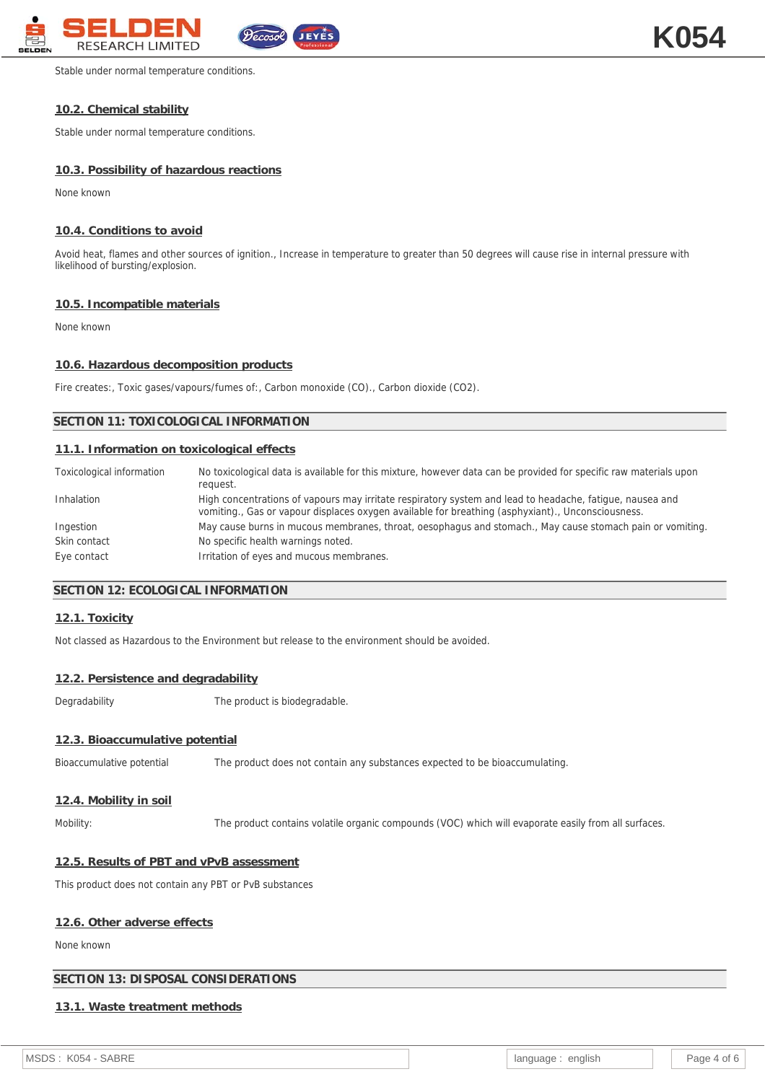

Stable under normal temperature conditions.

## **10.2. Chemical stability**

Stable under normal temperature conditions.

## **10.3. Possibility of hazardous reactions**

None known

## **10.4. Conditions to avoid**

Avoid heat, flames and other sources of ignition., Increase in temperature to greater than 50 degrees will cause rise in internal pressure with likelihood of bursting/explosion.

## **10.5. Incompatible materials**

None known

## **10.6. Hazardous decomposition products**

Fire creates:, Toxic gases/vapours/fumes of:, Carbon monoxide (CO)., Carbon dioxide (CO2).

## **SECTION 11: TOXICOLOGICAL INFORMATION**

## **11.1. Information on toxicological effects**

| Toxicological information | No toxicological data is available for this mixture, however data can be provided for specific raw materials upon<br>request.                                                                                 |
|---------------------------|---------------------------------------------------------------------------------------------------------------------------------------------------------------------------------------------------------------|
| Inhalation                | High concentrations of vapours may irritate respiratory system and lead to headache, fatigue, nausea and<br>vomiting., Gas or vapour displaces oxygen available for breathing (asphyxiant)., Unconsciousness. |
| Ingestion                 | May cause burns in mucous membranes, throat, oesophagus and stomach., May cause stomach pain or vomiting.                                                                                                     |
| Skin contact              | No specific health warnings noted.                                                                                                                                                                            |
| Eye contact               | Irritation of eyes and mucous membranes.                                                                                                                                                                      |

## **SECTION 12: ECOLOGICAL INFORMATION**

## **12.1. Toxicity**

Not classed as Hazardous to the Environment but release to the environment should be avoided.

## **12.2. Persistence and degradability**

Degradability The product is biodegradable.

## **12.3. Bioaccumulative potential**

Bioaccumulative potential The product does not contain any substances expected to be bioaccumulating.

## **12.4. Mobility in soil**

Mobility: The product contains volatile organic compounds (VOC) which will evaporate easily from all surfaces.

## **12.5. Results of PBT and vPvB assessment**

This product does not contain any PBT or PvB substances

## **12.6. Other adverse effects**

None known

## **SECTION 13: DISPOSAL CONSIDERATIONS**

## **13.1. Waste treatment methods**

MSDS : K054 - SABRE **language : english Page 4 of 6** and Page 4 of 6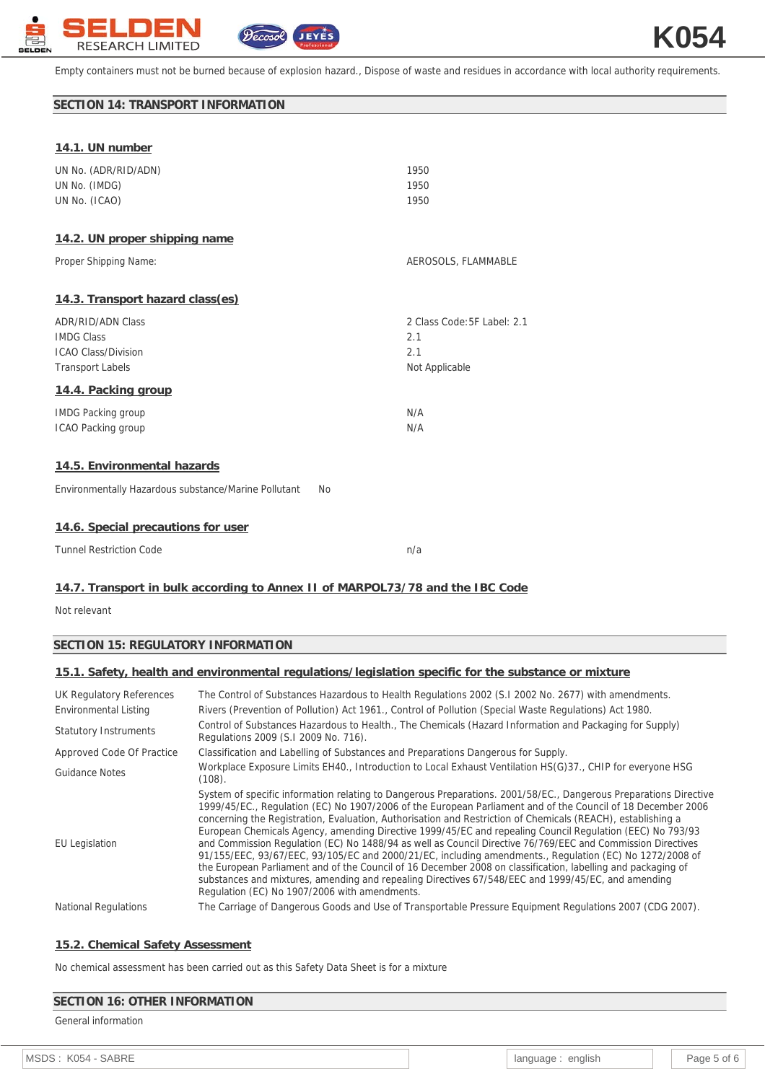

Empty containers must not be burned because of explosion hazard., Dispose of waste and residues in accordance with local authority requirements.

## **SECTION 14: TRANSPORT INFORMATION**

| UN No. (ADR/RID/ADN)<br>UN No. (IMDG)<br>UN No. (ICAO)                                                 | 1950<br>1950<br>1950                                        |
|--------------------------------------------------------------------------------------------------------|-------------------------------------------------------------|
| 14.2. UN proper shipping name                                                                          |                                                             |
| Proper Shipping Name:                                                                                  | AEROSOLS, FLAMMABLE                                         |
| 14.3. Transport hazard class(es)                                                                       |                                                             |
| <b>ADR/RID/ADN Class</b><br><b>IMDG Class</b><br><b>ICAO Class/Division</b><br><b>Transport Labels</b> | 2 Class Code: 5F Label: 2.1<br>2.1<br>2.1<br>Not Applicable |
| 14.4. Packing group                                                                                    |                                                             |
| <b>IMDG Packing group</b><br>ICAO Packing group                                                        | N/A<br>N/A                                                  |
| 14.5. Environmental hazards                                                                            |                                                             |
| Environmentally Hazardous substance/Marine Pollutant<br><b>No</b>                                      |                                                             |
| 14.6. Special precautions for user                                                                     |                                                             |

| Tunnel Restriction Code |  |
|-------------------------|--|
|                         |  |

## **14.7. Transport in bulk according to Annex II of MARPOL73/78 and the IBC Code**

Not relevant

### **SECTION 15: REGULATORY INFORMATION**

## **15.1. Safety, health and environmental regulations/legislation specific for the substance or mixture**

| UK Regulatory References     | The Control of Substances Hazardous to Health Regulations 2002 (S.1 2002 No. 2677) with amendments.                                                                                                                                                                                                                                                                                                                                                                                                                                                                                                                                                                                                                                                                                                                                                                                                                                                          |  |  |  |
|------------------------------|--------------------------------------------------------------------------------------------------------------------------------------------------------------------------------------------------------------------------------------------------------------------------------------------------------------------------------------------------------------------------------------------------------------------------------------------------------------------------------------------------------------------------------------------------------------------------------------------------------------------------------------------------------------------------------------------------------------------------------------------------------------------------------------------------------------------------------------------------------------------------------------------------------------------------------------------------------------|--|--|--|
| Environmental Listing        | Rivers (Prevention of Pollution) Act 1961., Control of Pollution (Special Waste Regulations) Act 1980.                                                                                                                                                                                                                                                                                                                                                                                                                                                                                                                                                                                                                                                                                                                                                                                                                                                       |  |  |  |
| <b>Statutory Instruments</b> | Control of Substances Hazardous to Health., The Chemicals (Hazard Information and Packaging for Supply)<br>Regulations 2009 (S.I 2009 No. 716).                                                                                                                                                                                                                                                                                                                                                                                                                                                                                                                                                                                                                                                                                                                                                                                                              |  |  |  |
| Approved Code Of Practice    | Classification and Labelling of Substances and Preparations Dangerous for Supply.                                                                                                                                                                                                                                                                                                                                                                                                                                                                                                                                                                                                                                                                                                                                                                                                                                                                            |  |  |  |
| Guidance Notes               | Workplace Exposure Limits EH40., Introduction to Local Exhaust Ventilation HS(G)37., CHIP for everyone HSG<br>(108).                                                                                                                                                                                                                                                                                                                                                                                                                                                                                                                                                                                                                                                                                                                                                                                                                                         |  |  |  |
| <b>EU</b> Legislation        | System of specific information relating to Dangerous Preparations. 2001/58/EC., Dangerous Preparations Directive<br>1999/45/EC., Regulation (EC) No 1907/2006 of the European Parliament and of the Council of 18 December 2006<br>concerning the Registration, Evaluation, Authorisation and Restriction of Chemicals (REACH), establishing a<br>European Chemicals Agency, amending Directive 1999/45/EC and repealing Council Regulation (EEC) No 793/93<br>and Commission Regulation (EC) No 1488/94 as well as Council Directive 76/769/EEC and Commission Directives<br>91/155/EEC, 93/67/EEC, 93/105/EC and 2000/21/EC, including amendments., Regulation (EC) No 1272/2008 of<br>the European Parliament and of the Council of 16 December 2008 on classification, labelling and packaging of<br>substances and mixtures, amending and repealing Directives 67/548/EEC and 1999/45/EC, and amending<br>Regulation (EC) No 1907/2006 with amendments. |  |  |  |
| <b>National Regulations</b>  | The Carriage of Dangerous Goods and Use of Transportable Pressure Equipment Regulations 2007 (CDG 2007).                                                                                                                                                                                                                                                                                                                                                                                                                                                                                                                                                                                                                                                                                                                                                                                                                                                     |  |  |  |
|                              |                                                                                                                                                                                                                                                                                                                                                                                                                                                                                                                                                                                                                                                                                                                                                                                                                                                                                                                                                              |  |  |  |

#### **15.2. Chemical Safety Assessment**

No chemical assessment has been carried out as this Safety Data Sheet is for a mixture

#### **SECTION 16: OTHER INFORMATION**

## General information